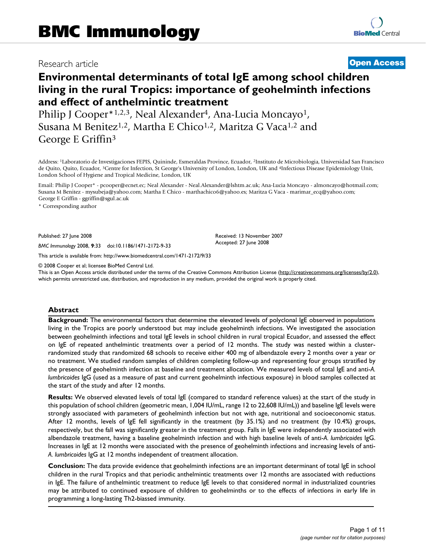## Research article **[Open Access](http://www.biomedcentral.com/info/about/charter/)**

# **Environmental determinants of total IgE among school children living in the rural Tropics: importance of geohelminth infections and effect of anthelmintic treatment**

Philip J Cooper\*<sup>1,2,3</sup>, Neal Alexander<sup>4</sup>, Ana-Lucia Moncayo<sup>1</sup>, Susana M Benitez<sup>1,2</sup>, Martha E Chico<sup>1,2</sup>, Maritza G Vaca<sup>1,2</sup> and George E Griffin3

Address: 1Laboratorio de Investigaciones FEPIS, Quininde, Esmeraldas Province, Ecuador, 2Instituto de Microbiologia, Universidad San Francisco de Quito, Quito, Ecuador, 3Centre for Infection, St George's University of London, London, UK and 4Infectious Disease Epidemiology Unit, London School of Hygiene and Tropical Medicine, London, UK

Email: Philip J Cooper\* - pcooper@ecnet.ec; Neal Alexander - Neal.Alexander@lshtm.ac.uk; Ana-Lucia Moncayo - almoncayo@hotmail.com; Susana M Benitez - mysubeja@yahoo.com; Martha E Chico - marthachico6@yahoo.es; Maritza G Vaca - marimar\_ecq@yahoo.com; George E Griffin - ggriffin@sgul.ac.uk

\* Corresponding author

Published: 27 June 2008

*BMC Immunology* 2008, **9**:33 doi:10.1186/1471-2172-9-33

[This article is available from: http://www.biomedcentral.com/1471-2172/9/33](http://www.biomedcentral.com/1471-2172/9/33)

© 2008 Cooper et al; licensee BioMed Central Ltd.

This is an Open Access article distributed under the terms of the Creative Commons Attribution License [\(http://creativecommons.org/licenses/by/2.0\)](http://creativecommons.org/licenses/by/2.0), which permits unrestricted use, distribution, and reproduction in any medium, provided the original work is properly cited.

Received: 13 November 2007 Accepted: 27 June 2008

#### **Abstract**

**Background:** The environmental factors that determine the elevated levels of polyclonal IgE observed in populations living in the Tropics are poorly understood but may include geohelminth infections. We investigated the association between geohelminth infections and total IgE levels in school children in rural tropical Ecuador, and assessed the effect on IgE of repeated anthelmintic treatments over a period of 12 months. The study was nested within a clusterrandomized study that randomized 68 schools to receive either 400 mg of albendazole every 2 months over a year or no treatment. We studied random samples of children completing follow-up and representing four groups stratified by the presence of geohelminth infection at baseline and treatment allocation. We measured levels of total IgE and anti-*A. lumbricoides* IgG (used as a measure of past and current geohelminth infectious exposure) in blood samples collected at the start of the study and after 12 months.

**Results:** We observed elevated levels of total IgE (compared to standard reference values) at the start of the study in this population of school children (geometric mean, 1,004 IU/mL, range 12 to 22,608 IU/mL)) and baseline IgE levels were strongly associated with parameters of geohelminth infection but not with age, nutritional and socioeconomic status. After 12 months, levels of IgE fell significantly in the treatment (by 35.1%) and no treatment (by 10.4%) groups, respectively, but the fall was significantly greater in the treatment group. Falls in IgE were independently associated with albendazole treatment, having a baseline geohelminth infection and with high baseline levels of anti-*A. lumbricoides* IgG. Increases in IgE at 12 months were associated with the presence of geohelminth infections and increasing levels of anti-*A. lumbricoides* IgG at 12 months independent of treatment allocation.

**Conclusion:** The data provide evidence that geohelminth infections are an important determinant of total IgE in school children in the rural Tropics and that periodic anthelmintic treatments over 12 months are associated with reductions in IgE. The failure of anthelmintic treatment to reduce IgE levels to that considered normal in industrialized countries may be attributed to continued exposure of children to geohelminths or to the effects of infections in early life in programming a long-lasting Th2-biassed immunity.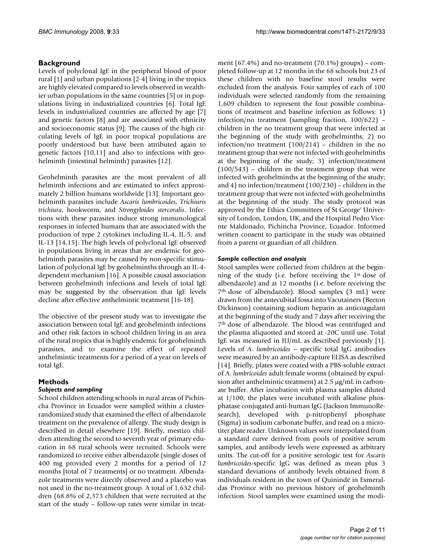### **Background**

Levels of polyclonal IgE in the peripheral blood of poor rural [1] and urban populations [2-4] living in the tropics are highly elevated compared to levels observed in wealthier urban populations in the same countries [5] or in populations living in industrialized countries [6]. Total IgE levels in industrialized countries are affected by age [7] and genetic factors [8] and are associated with ethnicity and socioeconomic status [9]. The causes of the high circulating levels of IgE in poor tropical populations are poorly understood but have been attributed again to genetic factors [10,11] and also to infections with geohelminth (intestinal helminth) parasites [12].

Geohelminth parasites are the most prevalent of all helminth infections and are estimated to infect approximately 2 billion humans worldwide [13]. Important geohelminth parasites include *Ascaris lumbricoides*, *Trichiuris trichiura*, hookworm, and *Strongyloides stercoralis*. Infections with these parasites induce strong immunological responses in infected humans that are associated with the production of type 2 cytokines including IL-4, IL-5, and IL-13 [14,15]. The high levels of polyclonal IgE observed in populations living in areas that are endemic for geohelminth parasites may be caused by non-specific stimulation of polyclonal IgE by geohelminths through an IL-4 dependent mechanism [[16\]](#page-10-0). A possible causal association between geohelminth infections and levels of total IgE may be suggested by the observation that IgE levels decline after effective anthelmintic treatment [\[16](#page-10-0)-18].

The objective of the present study was to investigate the association between total IgE and geohelminth infections and other risk factors in school children living in an area of the rural tropics that is highly endemic for geohelminth parasites, and to examine the effect of repeated anthelmintic treatments for a period of a year on levels of total IgE.

#### **Methods**

#### *Subjects and sampling*

School children attending schools in rural areas of Pichincha Province in Ecuador were sampled within a clusterrandomized study that examined the effect of albendazole treatment on the prevalence of allergy. The study design is described in detail elsewhere [19]. Briefly, mestizo children attending the second to seventh year of primary education in 68 rural schools were recruited. Schools were randomized to receive either albendazole (single doses of 400 mg provided every 2 months for a period of 12 months [total of 7 treatments] or no treatment. Albendazole treatments were directly observed and a placebo was not used in the no-treatment group. A total of 1,632 children (68.8% of 2,373 children that were recruited at the start of the study – follow-up rates were similar in treatment  $(67.4\%)$  and no-treatment  $(70.1\%)$  groups) – completed follow-up at 12 months in the 68 schools but 23 of these children with no baseline stool results were excluded from the analysis. Four samples of each of 100 individuals were selected randomly from the remaining 1,609 children to represent the four possible combinations of treatment and baseline infection as follows: 1) infection/no treatment (sampling fraction, 100/622) – children in the no treatment group that were infected at the beginning of the study with geohelminths; 2) no infection/no treatment (100/214) – children in the no treatment group that were not infected with geohelminths at the beginning of the study; 3) infection/treatment (100/543) – children in the treatment group that were infected with geohelminths at the beginning of the study; and 4) no infection/treatment (100/230) – children in the treatment group that were not infected with geohelminths at the beginning of the study. The study protocol was approved by the Ethics Committees of St George' University of London, London, UK, and the Hospital Pedro Vicente Maldonado, Pichincha Province, Ecuador. Informed written consent to participate in the study was obtained from a parent or guardian of all children.

#### *Sample collection and analysis*

Stool samples were collected from children at the beginning of the study (i.e. before receiving the 1st dose of albendazole) and at 12 months (i.e. before receiving the 7th dose of albendazole). Blood samples (3 mL) were drawn from the antecubital fossa into Vacutainers (Becton Dickinson) containing sodium heparin as anticoagulant at the beginning of the study and 7 days after receiving the 7th dose of albendazole. The blood was centrifuged and the plasma aliquotted and stored at -20C until use. Total IgE was measured in IU/mL as described previously [1]. Levels of *A. lumbricoides* – specific total IgG antibodies were measured by an antibody-capture ELISA as described [14]. Briefly, plates were coated with a PBS-soluble extract of *A. lumbricoides* adult female worms (obtained by expulsion after anthelmintic treatment) at 2.5 μg/mL in carbonate buffer. After incubation with plasma samples diluted at 1/100, the plates were incubated with alkaline phosphatase conjugated anti-human IgG (Jackson ImmunoResearch), developed with p-nitrophenyl phosphate (Sigma) in sodium carbonate buffer, and read on a microtiter plate reader. Unknown values were interpolated from a standard curve derived from pools of positive serum samples, and antibody levels were expressed as arbitrary units. The cut-off for a positive serologic test for *Ascaris lumbricoides*-specific IgG was defined as mean plus 3 standard deviations of antibody levels obtained from 8 individuals resident in the town of Quinindé in Esmeraldas Province with no previous history of geohelminth infection. Stool samples were examined using the modi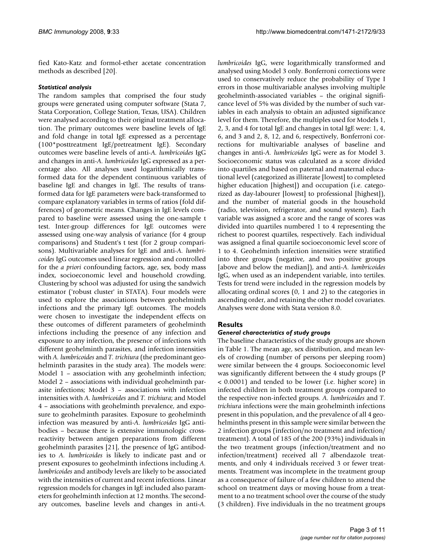fied Kato-Katz and formol-ether acetate concentration methods as described [20].

#### *Statistical analysis*

The random samples that comprised the four study groups were generated using computer software (Stata 7, Stata Corporation, College Station, Texas, USA). Children were analysed according to their original treatment allocation. The primary outcomes were baseline levels of IgE and fold change in total IgE expressed as a percentage (100\*posttreatment IgE/pretreatment IgE). Secondary outcomes were baseline levels of anti-*A. lumbricoides* IgG and changes in anti-*A. lumbricoides* IgG expressed as a percentage also. All analyses used logarithmically transformed data for the dependent continuous variables of baseline IgE and changes in IgE. The results of transformed data for IgE parameters were back-transformed to compare explanatory variables in terms of ratios (fold differences) of geometric means. Changes in IgE levels compared to baseline were assessed using the one-sample t test. Inter-group differences for IgE outcomes were assessed using one-way analysis of variance (for 4 group comparisons) and Student's t test (for 2 group comparisons). Multivariable analyses for IgE and anti-*A. lumbricoides* IgG outcomes used linear regression and controlled for the *a priori* confounding factors, age, sex, body mass index, socioeconomic level and household crowding. Clustering by school was adjusted for using the sandwich estimator ('robust cluster' in STATA). Four models were used to explore the associations between geohelminth infections and the primary IgE outcomes. The models were chosen to investigate the independent effects on these outcomes of different parameters of geohelminth infections including the presence of any infection and exposure to any infection, the presence of infections with different geohelminth parasites, and infection intensities with *A. lumbricoides* and *T. trichiura* (the predominant geohelminth parasites in the study area). The models were: Model 1 – association with any geohelminth infection; Model 2 – associations with individual geohelminth parasite infections; Model 3 – associations with infection intensities with *A. lumbricoides* and *T. trichiura*; and Model 4 – associations with geohelminth prevalence, and exposure to geohelminth parasites. Exposure to geohelminth infection was measured by anti-*A. lumbricoides* IgG antibodies – because there is extensive immunologic crossreactivity between antigen preparations from different geohelminth parasites [21], the presence of IgG antibodies to *A. lumbricoides* is likely to indicate past and or present exposures to geohelminth infections including *A. lumbricoides* and antibody levels are likely to be associated with the intensities of current and recent infections. Linear regression models for changes in IgE included also parameters for geohelminth infection at 12 months. The secondary outcomes, baseline levels and changes in anti-*A.*

*lumbricoides* IgG, were logarithmically transformed and analysed using Model 3 only. Bonferroni corrections were used to conservatively reduce the probability of Type I errors in those multivariable analyses involving multiple geohelminth-associated variables – the original significance level of 5% was divided by the number of such variables in each analysis to obtain an adjusted significance level for them. Therefore, the multiples used for Models 1, 2, 3, and 4 for total IgE and changes in total IgE were: 1, 4, 6, and 3 and 2, 8, 12, and 6, respectively, Bonferroni corrections for multivariable analyses of baseline and changes in anti-*A. lumbricoides* IgG were as for Model 3. Socioeconomic status was calculated as a score divided into quartiles and based on paternal and maternal educational level (categorized as illiterate [lowest] to completed higher education [highest]) and occupation (i.e. categorized as day-labourer [lowest] to professional [highest]), and the number of material goods in the household (radio, television, refrigerator, and sound system). Each variable was assigned a score and the range of scores was divided into quartiles numbered 1 to 4 representing the richest to poorest quartiles, respectively. Each individual was assigned a final quartile socioeconomic level score of 1 to 4. Geohelminth infection intensities were stratified into three groups (negative, and two positive groups [above and below the median]), and anti-*A. lumbricoides* IgG, when used as an independent variable, into tertiles. Tests for trend were included in the regression models by allocating ordinal scores (0, 1 and 2) to the categories in ascending order, and retaining the other model covariates. Analyses were done with Stata version 8.0.

#### **Results**

#### *General characteristics of study groups*

The baseline characteristics of the study groups are shown in Table 1. The mean age, sex distribution, and mean levels of crowding (number of persons per sleeping room) were similar between the 4 groups. Socioeconomic level was significantly different between the 4 study groups (P < 0.0001) and tended to be lower (i.e. higher score) in infected children in both treatment groups compared to the respective non-infected groups. *A. lumbricoides* and *T. trichiura* infections were the main geohelminth infections present in this population, and the prevalence of all 4 geohelminths present in this sample were similar between the 2 infection groups (infection/no treatment and infection/ treatment). A total of 185 of the 200 (93%) individuals in the two treatment groups (infection/treatment and no infection/treatment) received all 7 albendazole treatments, and only 4 individuals received 3 or fewer treatments. Treatment was incomplete in the treatment group as a consequence of failure of a few children to attend the school on treatment days or moving house from a treatment to a no treatment school over the course of the study (3 children). Five individuals in the no treatment groups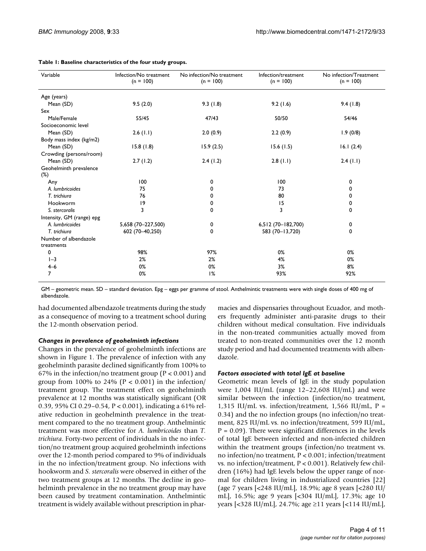| Variable                            | Infection/No treatment<br>$(n = 100)$ | No infection/No treatment<br>$(n = 100)$ | Infection/treatment<br>$(n = 100)$ | No infection/Treatment<br>$(n = 100)$ |
|-------------------------------------|---------------------------------------|------------------------------------------|------------------------------------|---------------------------------------|
| Age (years)                         |                                       |                                          |                                    |                                       |
| Mean (SD)                           | 9.5(2.0)                              | 9.3(1.8)                                 | 9.2(1.6)                           | 9.4(1.8)                              |
| Sex                                 |                                       |                                          |                                    |                                       |
| Male/Female                         | 55/45                                 | 47/43                                    | 50/50                              | 54/46                                 |
| Socioeconomic level                 |                                       |                                          |                                    |                                       |
| Mean (SD)                           | 2.6(1.1)                              | 2.0(0.9)                                 | 2.2(0.9)                           | 1.9(0/8)                              |
| Body mass index (kg/m2)             |                                       |                                          |                                    |                                       |
| Mean (SD)                           | 15.8(1.8)                             | 15.9(2.5)                                | 15.6(1.5)                          | 16.1(2.4)                             |
| Crowding (persons/room)             |                                       |                                          |                                    |                                       |
| Mean (SD)                           | 2.7(1.2)                              | 2.4(1.2)                                 | 2.8(1.1)                           | $2.4$ (1.1)                           |
| Geohelminth prevalence<br>$(\%)$    |                                       |                                          |                                    |                                       |
| Any                                 | 100                                   | 0                                        | 100                                | 0                                     |
| A. lumbricoides                     | 75                                    | 0                                        | 73                                 | 0                                     |
| T. trichiura                        | 76                                    | 0                                        | 80                                 | 0                                     |
| Hookworm                            | 19                                    | 0                                        | 15                                 | 0                                     |
| S. stercoralis                      | 3                                     | 0                                        | 3                                  | 0                                     |
| Intensity, GM (range) epg           |                                       |                                          |                                    |                                       |
| A. lumbricoides                     | 5,658 (70-227,500)                    | 0                                        | 6,512 (70-182,700)                 | 0                                     |
| T. trichiura                        | 602 (70-40,250)                       | 0                                        | 583 (70-13,720)                    | 0                                     |
| Number of albendazole<br>treatments |                                       |                                          |                                    |                                       |
| 0                                   | 98%                                   | 97%                                      | 0%                                 | 0%                                    |
| $I-3$                               | 2%                                    | 2%                                       | 4%                                 | 0%                                    |
| $4-6$                               | 0%                                    | 0%                                       | 3%                                 | 8%                                    |
| 7                                   | 0%                                    | 1%                                       | 93%                                | 92%                                   |

**Table 1: Baseline characteristics of the four study groups.**

GM – geometric mean. SD – standard deviation. Epg – eggs per gramme of stool. Anthelmintic treatments were with single doses of 400 mg of albendazole.

had documented albendazole treatments during the study as a consequence of moving to a treatment school during the 12-month observation period.

#### *Changes in prevalence of geohelminth infections*

Changes in the prevalence of geohelminth infections are shown in Figure 1. The prevalence of infection with any geohelminth parasite declined significantly from 100% to 67% in the infection/no treatment group ( $P < 0.001$ ) and group from 100% to 24% ( $P < 0.001$ ) in the infection/ treatment group. The treatment effect on geohelminth prevalence at 12 months was statistically significant (OR 0.39, 95% CI 0.29–0.54, P < 0.001), indicating a 61% relative reduction in geohelminth prevalence in the treatment compared to the no treatment group. Anthelmintic treatment was more effective for *A. lumbricoides* than *T. trichiura*. Forty-two percent of individuals in the no infection/no treatment group acquired geohelminth infections over the 12-month period compared to 9% of individuals in the no infection/treatment group. No infections with hookworm and *S. stercoralis* were observed in either of the two treatment groups at 12 months. The decline in geohelminth prevalence in the no treatment group may have been caused by treatment contamination. Anthelmintic treatment is widely available without prescription in pharmacies and dispensaries throughout Ecuador, and mothers frequently administer anti-parasite drugs to their children without medical consultation. Five individuals in the non-treated communities actually moved from treated to non-treated communities over the 12 month study period and had documented treatments with albendazole.

#### *Factors associated with total IgE at baseline*

Geometric mean levels of IgE in the study population were 1,004 IU/mL (range 12–22,608 IU/mL) and were similar between the infection (infection/no treatment, 1,315 IU/mL vs. infection/treatment, 1,566 IU/mL,  $P =$ 0.34) and the no infection groups (no infection/no treatment, 825 IU/mL vs. no infection/treatment, 599 IU/mL,  $P = 0.09$ ). There were significant differences in the levels of total IgE between infected and non-infected children within the treatment groups (infection/no treatment vs. no infection/no treatment, P < 0.001; infection/treatment vs. no infection/treatment, P < 0.001). Relatively few children (16%) had IgE levels below the upper range of normal for children living in industrialized countries [22] (age 7 years [<248 IU/mL], 18.9%; age 8 years [<280 IU/ mL], 16.5%; age 9 years [<304 IU/mL], 17.3%; age 10 years [<328 IU/mL], 24.7%; age ≥11 years [<114 IU/mL],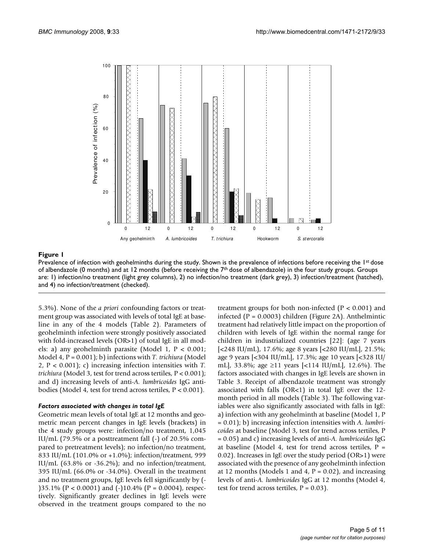

#### **Figure 1**

Prevalence of infection with geohelminths during the study. Shown is the prevalence of infections before receiving the 1st dose of albendazole (0 months) and at 12 months (before receiving the  $7<sup>th</sup>$  dose of albendazole) in the four study groups. Groups are: 1) infection/no treatment (light grey columns), 2) no infection/no treatment (dark grey), 3) infection/treatment (hatched), and 4) no infection/treatment (checked).

5.3%). None of the *a priori* confounding factors or treatment group was associated with levels of total IgE at baseline in any of the 4 models (Table 2). Parameters of geohelminth infection were strongly positively associated with fold-increased levels (OR>1) of total IgE in all models: a) any geohelminth parasite (Model 1, P < 0.001; Model 4, P = 0.001); b) infections with *T. trichiura* (Model 2, P < 0.001); c) increasing infection intensities with *T. trichiura* (Model 3, test for trend across tertiles, P < 0.001); and d) increasing levels of anti-*A. lumbricoides* IgG antibodies (Model 4, test for trend across tertiles, P < 0.001).

#### *Factors associated with changes in total IgE*

Geometric mean levels of total IgE at 12 months and geometric mean percent changes in IgE levels (brackets) in the 4 study groups were: infection/no treatment, 1,045 IU/mL (79.5% or a posttreatment fall (-) of 20.5% compared to pretreatment levels); no infection/no treatment, 833 IU/mL (101.0% or +1.0%); infection/treatment, 999 IU/mL (63.8% or -36.2%); and no infection/treatment, 395 IU/mL (66.0% or -34.0%). Overall in the treatment and no treatment groups, IgE levels fell significantly by (- )35.1% (P < 0.0001) and (-)10.4% (P = 0.0004), respectively. Significantly greater declines in IgE levels were observed in the treatment groups compared to the no

treatment groups for both non-infected  $(P < 0.001)$  and infected ( $P = 0.0003$ ) children (Figure 2A). Anthelmintic treatment had relatively little impact on the proportion of children with levels of IgE within the normal range for children in industrialized countries [22]: (age 7 years [<248 IU/mL), 17.6%; age 8 years [<280 IU/mL], 21.5%; age 9 years [<304 IU/mL], 17.3%; age 10 years [<328 IU/ mL], 33.8%; age ≥11 years [<114 IU/mL], 12.6%). The factors associated with changes in IgE levels are shown in Table 3. Receipt of albendazole treatment was strongly associated with falls (OR<1) in total IgE over the 12 month period in all models (Table 3). The following variables were also significantly associated with falls in IgE: a) infection with any geohelminth at baseline (Model 1, P = 0.01); b) increasing infection intensities with *A. lumbricoides* at baseline (Model 3, test for trend across tertiles, P = 0.05) and c) increasing levels of anti-*A. lumbricoides* IgG at baseline (Model 4, test for trend across tertiles,  $P =$ 0.02). Increases in IgE over the study period (OR>1) were associated with the presence of any geohelminth infection at 12 months (Models 1 and 4,  $P = 0.02$ ), and increasing levels of anti-*A. lumbricoides* IgG at 12 months (Model 4, test for trend across tertiles,  $P = 0.03$ ).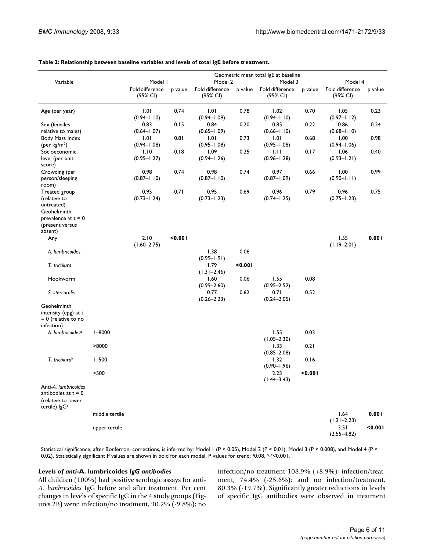|                                               |                |                         |         |                         |         | Geometric mean total IgE at baseline |         |                         |         |
|-----------------------------------------------|----------------|-------------------------|---------|-------------------------|---------|--------------------------------------|---------|-------------------------|---------|
| Variable                                      |                | Model I                 |         | Model 2                 |         | Model 3                              |         | Model 4                 |         |
|                                               |                | Fold difference         | p value | Fold difference         | p value | Fold difference                      | p value | Fold difference         | p value |
|                                               |                | (95% CI)                |         | (95% CI)                |         | (95% CI)                             |         | (95% CI)                |         |
| Age (per year)                                |                | 1.01                    | 0.74    | 1.01                    | 0.78    | 1.02                                 | 0.70    | 1.05                    | 0.23    |
|                                               |                | $(0.94 - 1.10)$         |         | $(0.94 - 1.09)$         |         | $(0.94 - 1.10)$                      |         | $(0.97 - 1.12)$         |         |
| Sex (females                                  |                | 0.83                    | 0.15    | 0.84                    | 0.20    | 0.85                                 | 0.22    | 0.86                    | 0.24    |
| relative to males)                            |                | $(0.64 - 1.07)$         |         | $(0.65 - 1.09)$         |         | $(0.66 - 1.10)$                      |         | $(0.68 - 1.10)$         |         |
| Body Mass Index                               |                | 1.01                    | 0.81    | 1.01                    | 0.73    | 1.01                                 | 0.68    | 1.00                    | 0.98    |
| (per $kg/m2$ )                                |                | $(0.94 - 1.08)$         |         | $(0.95 - 1.08)$         |         | $(0.95 - 1.08)$                      |         | $(0.94 - 1.06)$         |         |
| Socioeconomic<br>level (per unit              |                | 1.10<br>$(0.95 - 1.27)$ | 0.18    | 1.09<br>$(0.94 - 1.26)$ | 0.25    | 1.11<br>$(0.96 - 1.28)$              | 0.17    | 1.06<br>$(0.93 - 1.21)$ | 0.40    |
| score)                                        |                |                         |         |                         |         |                                      |         |                         |         |
| Crowding (per                                 |                | 0.98                    | 0.74    | 0.98                    | 0.74    | 0.97                                 | 0.66    | 1.00                    | 0.99    |
| person/sleeping                               |                | $(0.87 - 1.10)$         |         | $(0.87 - 1.10)$         |         | $(0.87 - 1.09)$                      |         | $(0.90 - 1.11)$         |         |
| room)                                         |                |                         |         |                         |         |                                      |         |                         |         |
| Treated group                                 |                | 0.95                    | 0.71    | 0.95                    | 0.69    | 0.96                                 | 0.79    | 0.96                    | 0.75    |
| (relative to                                  |                | $(0.73 - 1.24)$         |         | $(0.73 - 1.23)$         |         | $(0.74 - 1.25)$                      |         | $(0.75 - 1.23)$         |         |
| untreated)                                    |                |                         |         |                         |         |                                      |         |                         |         |
| Geohelminth<br>prevalence at $t = 0$          |                |                         |         |                         |         |                                      |         |                         |         |
| (present versus                               |                |                         |         |                         |         |                                      |         |                         |         |
| absent)                                       |                |                         |         |                         |         |                                      |         |                         |         |
| Any                                           |                | 2.10                    | 0.001   |                         |         |                                      |         | 1.55                    | 0.001   |
|                                               |                | $(1.60 - 2.75)$         |         |                         |         |                                      |         | $(1.19 - 2.01)$         |         |
| A. lumbricoides                               |                |                         |         | 1.38                    | 0.06    |                                      |         |                         |         |
|                                               |                |                         |         | $(0.99 - 1.91)$         |         |                                      |         |                         |         |
| T. trichiura                                  |                |                         |         | 1.79<br>$(1.31 - 2.46)$ | 0.001   |                                      |         |                         |         |
| Hookworm                                      |                |                         |         | 1.60                    | 0.06    | 1.55                                 | 0.08    |                         |         |
|                                               |                |                         |         | $(0.99 - 2.60)$         |         | $(0.95 - 2.52)$                      |         |                         |         |
| S. stercoralis                                |                |                         |         | 0.77                    | 0.62    | 0.71                                 | 0.52    |                         |         |
|                                               |                |                         |         | $(0.26 - 2.23)$         |         | $(0.24 - 2.05)$                      |         |                         |         |
| Geohelminth                                   |                |                         |         |                         |         |                                      |         |                         |         |
| intensity (epg) at t                          |                |                         |         |                         |         |                                      |         |                         |         |
| $= 0$ (relative to no<br>infection)           |                |                         |         |                         |         |                                      |         |                         |         |
| A. lumbricoides <sup>a</sup>                  | $I - 8000$     |                         |         |                         |         | 1.55                                 | 0.03    |                         |         |
|                                               |                |                         |         |                         |         | $(1.05 - 2.30)$                      |         |                         |         |
|                                               | > 8000         |                         |         |                         |         | 1.33                                 | 0.21    |                         |         |
|                                               |                |                         |         |                         |         | $(0.85 - 2.08)$                      |         |                         |         |
| T. trichiurab                                 | $I - 500$      |                         |         |                         |         | 1.32                                 | 0.16    |                         |         |
|                                               |                |                         |         |                         |         | $(0.90 - 1.96)$                      |         |                         |         |
|                                               | >500           |                         |         |                         |         | 2.23                                 | <0.001  |                         |         |
|                                               |                |                         |         |                         |         | $(1.44 - 3.43)$                      |         |                         |         |
| Anti-A. lumbricoides<br>antibodies at $t = 0$ |                |                         |         |                         |         |                                      |         |                         |         |
| (relative to lower                            |                |                         |         |                         |         |                                      |         |                         |         |
| tertile) IgG <sup>c</sup>                     |                |                         |         |                         |         |                                      |         |                         |         |
|                                               | middle tertile |                         |         |                         |         |                                      |         | 1.64                    | 0.001   |
|                                               |                |                         |         |                         |         |                                      |         | $(1.21 - 2.23)$         |         |
|                                               | upper tertile  |                         |         |                         |         |                                      |         | 3.51                    | 0.001   |
|                                               |                |                         |         |                         |         |                                      |         | $(2.55 - 4.82)$         |         |

#### **Table 2: Relationship between baseline variables and levels of total IgE before treatment.**

Statistical significance, after Bonferroni corrections, is inferred by: Model 1 (P < 0.05), Model 2 (P < 0.01), Model 3 (P < 0.008), and Model 4 (P < 0.02). Statistically significant P values are shown in bold for each model. P values for trend: a0.08, b, c<0.001.

#### *Levels of anti-***A. lumbricoides** *IgG antibodies*

All children (100%) had positive serologic assays for anti-*A. lumbricoides* IgG before and after treatment. Per cent changes in levels of specific IgG in the 4 study groups (Figures 2B) were: infection/no treatment, 90.2% (-9.8%); no

infection/no treatment 108.9% (+8.9%); infection/treatment, 74.4% (-25.6%); and no infection/treatment, 80.3% (-19.7%). Significantly greater reductions in levels of specific IgG antibodies were observed in treatment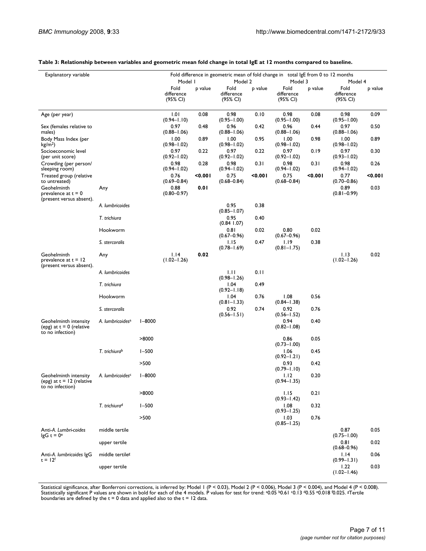#### **Table 3: Relationship between variables and geometric mean fold change in total IgE at 12 months compared to baseline.**

| Explanatory variable                                                     |                                 |            |                                |         | Fold difference in geometric mean of fold change in total lgE from 0 to 12 months |         |                                |         |                                 |               |
|--------------------------------------------------------------------------|---------------------------------|------------|--------------------------------|---------|-----------------------------------------------------------------------------------|---------|--------------------------------|---------|---------------------------------|---------------|
|                                                                          |                                 |            | Model I                        |         | Model 2                                                                           |         | Model 3                        |         | Model 4                         |               |
|                                                                          |                                 |            | Fold<br>difference<br>(95% CI) | p value | Fold<br>difference<br>(95% CI)                                                    | p value | Fold<br>difference<br>(95% CI) | p value | Fold<br>difference<br>(95% CI)  | p value       |
| Age (per year)                                                           |                                 |            | 1.01<br>$(0.94 - 1.10)$        | 0.08    | 0.98<br>$(0.95 - 1.00)$                                                           | 0.10    | 0.98<br>$(0.95 - 1.00)$        | 0.08    | 0.98<br>$(0.95 - 1.00)$         | 0.09          |
| Sex (females relative to<br>males)                                       |                                 |            | 0.97<br>$(0.88 - 1.06)$        | 0.48    | 0.96<br>$(0.88 - 1.06)$                                                           | 0.42    | 0.96<br>$(0.88 - 1.06)$        | 0.44    | 0.97<br>$(0.88 - 1.06)$         | 0.50          |
| Body Mass Index (per<br>kg/m <sup>2</sup> )                              |                                 |            | 1.00<br>$(0.98 - 1.02)$        | 0.89    | 1.00<br>$(0.98 - 1.02)$                                                           | 0.95    | 1.00<br>$(0.98 - 1.02)$        | 0.98    | 1.00<br>$(0.98 - 1.02)$         | 0.89          |
| Socioeconomic level<br>(per unit score)                                  |                                 |            | 0.97<br>$(0.92 - 1.02)$        | 0.22    | 0.97<br>$(0.92 - 1.02)$                                                           | 0.22    | 0.97<br>$(0.92 - 1.02)$        | 0.19    | 0.97<br>$(0.93 - 1.02)$         | 0.30          |
| Crowding (per person/<br>sleeping room)                                  |                                 |            | 0.98<br>$(0.94 - 1.02)$        | 0.28    | 0.98<br>$(0.94 - 1.02)$                                                           | 0.31    | 0.98<br>$(0.94 - 1.02)$        | 0.31    | 0.98<br>$(0.94 - 1.02)$         | 0.26          |
| Treated group (relative<br>to untreated)                                 |                                 |            | 0.76<br>$(0.69 - 0.84)$        | <0.00∣  | 0.75<br>$(0.68 - 0.84)$                                                           | 0.001   | 0.75<br>$(0.68 - 0.84)$        | 0.001   | 0.77<br>$(0.70 - 0.86)$<br>0.89 | 0.001<br>0.03 |
| Geohelminth<br>prevalence at $t = 0$<br>(present versus absent).         | Any                             |            | 0.88<br>$(0.80 - 0.97)$        | 0.01    |                                                                                   |         |                                |         | $(0.81 - 0.99)$                 |               |
|                                                                          | A. lumbricoides                 |            |                                |         | 0.95<br>$(0.85 - 1.07)$                                                           | 0.38    |                                |         |                                 |               |
|                                                                          | T. trichiura                    |            |                                |         | 0.95<br>$(0.84 \; 1.07)$                                                          | 0.40    |                                |         |                                 |               |
|                                                                          | Hookworm                        |            |                                |         | 0.81<br>$(0.67 - 0.96)$                                                           | 0.02    | 0.80<br>$(0.67 - 0.96)$        | 0.02    |                                 |               |
|                                                                          | S. stercoralis                  |            |                                |         | 1.15<br>$(0.78 - 1.69)$                                                           | 0.47    | 1.19<br>$(0.81 - 1.75)$        | 0.38    |                                 |               |
| Geohelminth<br>prevalence at $t = 12$<br>(present versus absent).        | Any                             |            | 1.14<br>$(1.02 - 1.26)$        | 0.02    |                                                                                   |         |                                |         | 1.13<br>$(1.02 - 1.26)$         | 0.02          |
|                                                                          | A. lumbricoides                 |            |                                |         | LH.<br>$(0.98 - 1.26)$                                                            | 0.11    |                                |         |                                 |               |
|                                                                          | T. trichiura                    |            |                                |         | 1.04<br>$(0.92 - 1.18)$                                                           | 0.49    |                                |         |                                 |               |
|                                                                          | Hookworm                        |            |                                |         | 1.04<br>$(0.81 - 1.33)$                                                           | 0.76    | 1.08<br>$(0.84 - 1.38)$        | 0.56    |                                 |               |
|                                                                          | S. stercoralis                  |            |                                |         | 0.92<br>$(0.56 - 1.51)$                                                           | 0.74    | 0.92<br>$(0.56 - 1.52)$        | 0.76    |                                 |               |
| Geohelminth intensity<br>(epg) at $t = 0$ (relative<br>to no infection)  | A. lumbricoides <sup>a</sup>    | $I - 8000$ |                                |         |                                                                                   |         | 0.94<br>$(0.82 - 1.08)$        | 0.40    |                                 |               |
|                                                                          |                                 | >8000      |                                |         |                                                                                   |         | 0.86<br>$(0.73 - 1.00)$        | 0.05    |                                 |               |
|                                                                          | T. trichiurab                   | $1 - 500$  |                                |         |                                                                                   |         | 1.06<br>$(0.92 - 1.21)$        | 0.45    |                                 |               |
|                                                                          |                                 | >500       |                                |         |                                                                                   |         | 0.93<br>$(0.79 - 1.10)$        | 0.42    |                                 |               |
| Geohelminth intensity<br>(epg) at $t = 12$ (relative<br>to no infection) | A. lumbricoides <sup>c</sup>    | $I - 8000$ |                                |         |                                                                                   |         | 1.12<br>$(0.94 - 1.35)$        | 0.20    |                                 |               |
|                                                                          |                                 | >8000      |                                |         |                                                                                   |         | 1.15<br>$(0.93 - 1.42)$        | 0.21    |                                 |               |
|                                                                          | T. trichiura <sup>d</sup>       | $1 - 500$  |                                |         |                                                                                   |         | 1.08<br>$(0.93 - 1.25)$        | 0.32    |                                 |               |
|                                                                          |                                 | >500       |                                |         |                                                                                   |         | 1.03<br>$(0.85 - 1.25)$        | 0.76    |                                 |               |
| Anti-A. Lumbri-coides<br>$lgG t = 0$ <sup>e</sup>                        | middle tertile<br>upper tertile |            |                                |         |                                                                                   |         |                                |         | 0.87<br>$(0.75 - 1.00)$<br>0.81 | 0.05<br>0.02  |
| Anti-A. lumbricoides IgG                                                 | middle tertile <sup>g</sup>     |            |                                |         |                                                                                   |         |                                |         | $(0.68 - 0.96)$<br>1.14         | 0.06          |
| $t = 12f$                                                                | upper tertile                   |            |                                |         |                                                                                   |         |                                |         | $(0.99 - 1.31)$<br>1.22         | 0.03          |
|                                                                          |                                 |            |                                |         |                                                                                   |         |                                |         | $(1.02 - 1.46)$                 |               |

Statistical significance, after Bonferroni corrections, is inferred by: Model 1 (P < 0.03), Model 2 (P < 0.006), Model 3 (P < 0.004), and Model 4 (P < 0.008).<br>Statistically significant P values are shown in bold for each o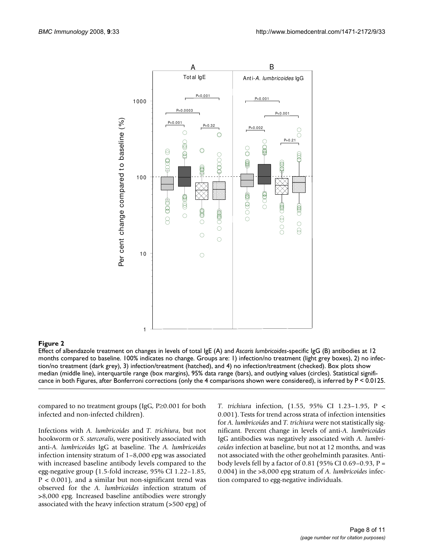

Effect of albendazole treatment on changes in levels of total IgE (A) and *Ascaris lumbricoides*-specific IgG (B) antibodies at 12 months compared to baseline. 100% indicates no change. Groups are: 1) infection/no treatment (light grey boxes), 2) no infection/no treatment (dark grey), 3) infection/treatment (hatched), and 4) no infection/treatment (checked). Box plots show median (middle line), interquartile range (box margins), 95% data range (bars), and outlying values (circles). Statistical significance in both Figures, after Bonferroni corrections (only the 4 comparisons shown were considered), is inferred by P < 0.0125.

compared to no treatment groups (IgG, P≥0.001 for both infected and non-infected children).

Infections with *A. lumbricoides* and *T. trichiura*, but not hookworm or *S. stercoralis*, were positively associated with anti-*A. lumbricoides* IgG at baseline. The *A. lumbricoides* infection intensity stratum of 1–8,000 epg was associated with increased baseline antibody levels compared to the egg-negative group (1.5-fold increase, 95% CI 1.22–1.85,  $P < 0.001$ ), and a similar but non-significant trend was observed for the *A. lumbricoides* infection stratum of >8,000 epg. Increased baseline antibodies were strongly associated with the heavy infection stratum (>500 epg) of *T. trichiura* infection, (1.55, 95% CI 1.23–1.95, P < 0.001). Tests for trend across strata of infection intensities for *A. lumbricoides* and *T. trichiura* were not statistically significant. Percent change in levels of anti-*A. lumbricoides* IgG antibodies was negatively associated with *A. lumbricoides* infection at baseline, but not at 12 months, and was not associated with the other geohelminth parasites. Antibody levels fell by a factor of 0.81 (95% CI 0.69-0.93,  $P =$ 0.004) in the >8,000 epg stratum of *A. lumbricoides* infection compared to egg-negative individuals.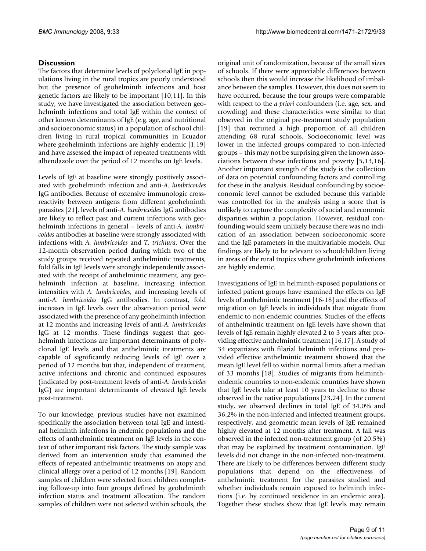### **Discussion**

The factors that determine levels of polyclonal IgE in populations living in the rural tropics are poorly understood but the presence of geohelminth infections and host genetic factors are likely to be important [10,11]. In this study, we have investigated the association between geohelminth infections and total IgE within the context of other known determinants of IgE (e.g. age, and nutritional and socioeconomic status) in a population of school children living in rural tropical communities in Ecuador where geohelminth infections are highly endemic [1,19] and have assessed the impact of repeated treatments with albendazole over the period of 12 months on IgE levels.

Levels of IgE at baseline were strongly positively associated with geohelminth infection and anti-*A. lumbricoides* IgG antibodies. Because of extensive immunologic crossreactivity between antigens from different geohelminth parasites [21], levels of anti-*A. lumbricoides* IgG antibodies are likely to reflect past and current infections with geohelminth infections in general – levels of anti-*A. lumbricoides* antibodies at baseline were strongly associated with infections with *A. lumbricoides* and *T. trichiura*. Over the 12-month observation period during which two of the study groups received repeated anthelmintic treatments, fold falls in IgE levels were strongly independently associated with the receipt of anthelmintic treatment, any geohelminth infection at baseline, increasing infection intensities with *A. lumbricoides*, and increasing levels of anti-*A. lumbricoides* IgG antibodies. In contrast, fold increases in IgE levels over the observation period were associated with the presence of any geohelminth infection at 12 months and increasing levels of anti-*A. lumbricoides* IgG at 12 months. These findings suggest that geohelminth infections are important determinants of polyclonal IgE levels and that anthelmintic treatments are capable of significantly reducing levels of IgE over a period of 12 months but that, independent of treatment, active infections and chronic and continued exposures (indicated by post-treatment levels of anti-*A. lumbricoides* IgG) are important determinants of elevated IgE levels post-treatment.

To our knowledge, previous studies have not examined specifically the association between total IgE and intestinal helminth infections in endemic populations and the effects of anthelmintic treatment on IgE levels in the context of other important risk factors. The study sample was derived from an intervention study that examined the effects of repeated anthelmintic treatments on atopy and clinical allergy over a period of 12 months [19]. Random samples of children were selected from children completing follow-up into four groups defined by geohelminth infection status and treatment allocation. The random samples of children were not selected within schools, the original unit of randomization, because of the small sizes of schools. If there were appreciable differences between schools then this would increase the likelihood of imbalance between the samples. However, this does not seem to have occurred, because the four groups were comparable with respect to the *a priori* confounders (i.e. age, sex, and crowding) and these characteristics were similar to that observed in the original pre-treatment study population [19] that recruited a high proportion of all children attending 68 rural schools. Socioeconomic level was lower in the infected groups compared to non-infected groups – this may not be surprising given the known associations between these infections and poverty [5,13[,16](#page-10-0)]. Another important strength of the study is the collection of data on potential confounding factors and controlling for these in the analysis. Residual confounding by socioeconomic level cannot be excluded because this variable was controlled for in the analysis using a score that is unlikely to capture the complexity of social and economic disparities within a population. However, residual confounding would seem unlikely because there was no indication of an association between socioeconomic score and the IgE parameters in the multivariable models. Our findings are likely to be relevant to schoolchildren living in areas of the rural tropics where geohelminth infections are highly endemic.

Investigations of IgE in helminth-exposed populations or infected patient groups have examined the effects on IgE levels of anthelmintic treatment [\[16](#page-10-0)-18] and the effects of migration on IgE levels in individuals that migrate from endemic to non-endemic countries. Studies of the effects of anthelmintic treatment on IgE levels have shown that levels of IgE remain highly elevated 2 to 3 years after providing effective anthelmintic treatment [\[16](#page-10-0),17]. A study of 34 expatriates with filarial helminth infections and provided effective anthelmintic treatment showed that the mean IgE level fell to within normal limits after a median of 33 months [18]. Studies of migrants from helminthendemic countries to non-endemic countries have shown that IgE levels take at least 10 years to decline to those observed in the native populations [23,24]. In the current study, we observed declines in total IgE of 34.0% and 36.2% in the non-infected and infected treatment groups, respectively, and geometric mean levels of IgE remained highly elevated at 12 months after treatment. A fall was observed in the infected non-treatment group (of 20.5%) that may be explained by treatment contamination. IgE levels did not change in the non-infected non-treatment. There are likely to be differences between different study populations that depend on the effectiveness of anthelmintic treatment for the parasites studied and whether individuals remain exposed to helminth infections (i.e. by continued residence in an endemic area). Together these studies show that IgE levels may remain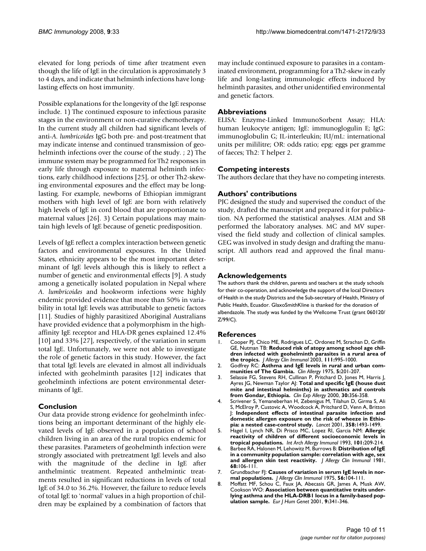elevated for long periods of time after treatment even though the life of IgE in the circulation is approximately 3 to 4 days, and indicate that helminth infections have longlasting effects on host immunity.

Possible explanations for the longevity of the IgE response include. 1) The continued exposure to infectious parasite stages in the environment or non-curative chemotherapy. In the current study all children had significant levels of anti-*A. lumbricoides* IgG both pre- and post-treatment that may indicate intense and continued transmission of geohelminth infections over the course of the study. ; 2) The immune system may be programmed for Th2 responses in early life through exposure to maternal helminth infections, early childhood infections [25], or other Th2-skewing environmental exposures and the effect may be longlasting. For example, newborns of Ethiopian immigrant mothers with high level of IgE are born with relatively high levels of IgE in cord blood that are proportionate to maternal values [26]. 3) Certain populations may maintain high levels of IgE because of genetic predisposition.

Levels of IgE reflect a complex interaction between genetic factors and environmental exposures. In the United States, ethnicity appears to be the most important determinant of IgE levels although this is likely to reflect a number of genetic and environmental effects [9]. A study among a genetically isolated population in Nepal where *A. lumbricoides* and hookworm infections were highly endemic provided evidence that more than 50% in variability in total IgE levels was attributable to genetic factors [11]. Studies of highly parasitized Aboriginal Australians have provided evidence that a polymorphism in the highaffinity IgE receptor and HLA-DR genes explained 12.4% [10] and 33% [27], respectively, of the variation in serum total IgE. Unfortunately, we were not able to investigate the role of genetic factors in this study. However, the fact that total IgE levels are elevated in almost all individuals infected with geohelminth parasites [12] indicates that geohelminth infections are potent environmental determinants of IgE.

### **Conclusion**

Our data provide strong evidence for geohelminth infections being an important determinant of the highly elevated levels of IgE observed in a population of school children living in an area of the rural tropics endemic for these parasites. Parameters of geohelminth infection were strongly associated with pretreatment IgE levels and also with the magnitude of the decline in IgE after anthelmintic treatment. Repeated anthelmintic treatments resulted in significant reductions in levels of total IgE of 34.0 to 36.2%. However, the failure to reduce levels of total IgE to 'normal' values in a high proportion of children may be explained by a combination of factors that may include continued exposure to parasites in a contaminated environment, programming for a Th2-skew in early life and long-lasting immunologic effects induced by helminth parasites, and other unidentified environmental and genetic factors.

#### **Abbreviations**

ELISA: Enzyme-Linked ImmunoSorbent Assay; HLA: human leukocyte antigen; IgE: immunoglogulin E; IgG: immunoglobulin G; IL-interleukin; IU/mL: international units per mililitre; OR: odds ratio; epg: eggs per gramme of faeces; Th2: T helper 2.

#### **Competing interests**

The authors declare that they have no competing interests.

#### **Authors' contributions**

PJC designed the study and supervised the conduct of the study, drafted the manuscript and prepared it for publication. NA performed the statistical analyses. ALM and SB performed the laboratory analyses. MC and MV supervised the field study and collection of clinical samples. GEG was involved in study design and drafting the manuscript. All authors read and approved the final manuscript.

#### **Acknowledgements**

The authors thank the children, parents and teachers at the study schools for their co-operation, and acknowledge the support of the local Directors of Health in the study Districts and the Sub-secretary of Health, Ministry of Public Health, Ecuador. GlaxoSmithKline is thanked for the donation of albendazole. The study was funded by the Wellcome Trust (grant 060120/ Z/99/C).

#### **References**

- 1. Cooper PJ, Chico ME, Rodrigues LC, Ordonez M, Strachan D, Griffin GE, Nutman TB: **[Reduced risk of atopy among school age chil](http://www.ncbi.nlm.nih.gov/entrez/query.fcgi?cmd=Retrieve&db=PubMed&dopt=Abstract&list_uids=12743563)[dren infected with geohelminth parasites in a rural area of](http://www.ncbi.nlm.nih.gov/entrez/query.fcgi?cmd=Retrieve&db=PubMed&dopt=Abstract&list_uids=12743563) [the tropics.](http://www.ncbi.nlm.nih.gov/entrez/query.fcgi?cmd=Retrieve&db=PubMed&dopt=Abstract&list_uids=12743563)** *J Allergy Clin Immunol* 2003, **111:**995-1000.
- 2. Godfrey RC: **[Asthma and IgE levels in rural and urban com](http://www.ncbi.nlm.nih.gov/entrez/query.fcgi?cmd=Retrieve&db=PubMed&dopt=Abstract&list_uids=1139767)[munities of The Gambia.](http://www.ncbi.nlm.nih.gov/entrez/query.fcgi?cmd=Retrieve&db=PubMed&dopt=Abstract&list_uids=1139767)** *Clin Allergy* 1975, **5:**201-207.
- 3. Selassie FG, Stevens RH, Cullinan P, Pritchard D, Jones M, Harris J, Ayres JG, Newman Taylor AJ: **[Total and specific IgE \(house dust](http://www.ncbi.nlm.nih.gov/entrez/query.fcgi?cmd=Retrieve&db=PubMed&dopt=Abstract&list_uids=10691893) [mite and intestinal helminths\) in asthmatics and controls](http://www.ncbi.nlm.nih.gov/entrez/query.fcgi?cmd=Retrieve&db=PubMed&dopt=Abstract&list_uids=10691893) [from Gondar, Ethiopia.](http://www.ncbi.nlm.nih.gov/entrez/query.fcgi?cmd=Retrieve&db=PubMed&dopt=Abstract&list_uids=10691893)** *Clin Exp Allergy* 2000, **30:**356-358.
- 4. Scrivener S, Yemaneberhan H, Zebenigus M, Tilahun D, Girma S, Ali S, McElroy P, Custovic A, Woodcock A, Pritchard D, Venn A, Britton J: **[Independent effects of intestinal parasite infection and](http://www.ncbi.nlm.nih.gov/entrez/query.fcgi?cmd=Retrieve&db=PubMed&dopt=Abstract&list_uids=11705561) [domestic allergen exposure on the risk of wheeze in Ethio](http://www.ncbi.nlm.nih.gov/entrez/query.fcgi?cmd=Retrieve&db=PubMed&dopt=Abstract&list_uids=11705561)[pia: a nested case-control study.](http://www.ncbi.nlm.nih.gov/entrez/query.fcgi?cmd=Retrieve&db=PubMed&dopt=Abstract&list_uids=11705561)** *Lancet* 2001, **358:**1493-1499.
- 5. Hagel I, Lynch NR, Di Prisco MC, Lopez RI, Garcia NM: **[Allergic](http://www.ncbi.nlm.nih.gov/entrez/query.fcgi?cmd=Retrieve&db=PubMed&dopt=Abstract&list_uids=8508056) [reactivity of children of different socioeconomic levels in](http://www.ncbi.nlm.nih.gov/entrez/query.fcgi?cmd=Retrieve&db=PubMed&dopt=Abstract&list_uids=8508056) [tropical populations.](http://www.ncbi.nlm.nih.gov/entrez/query.fcgi?cmd=Retrieve&db=PubMed&dopt=Abstract&list_uids=8508056)** *Int Arch Allergy Immunol* 1993, **101:**209-214.
- 6. Barbee RA, Halonen M, Lehowitz M, Burrows B: **[Distribution of IgE](http://www.ncbi.nlm.nih.gov/entrez/query.fcgi?cmd=Retrieve&db=PubMed&dopt=Abstract&list_uids=7251998) [in a community population sample: correlation with age, sex](http://www.ncbi.nlm.nih.gov/entrez/query.fcgi?cmd=Retrieve&db=PubMed&dopt=Abstract&list_uids=7251998) [and allergen skin test reactivity.](http://www.ncbi.nlm.nih.gov/entrez/query.fcgi?cmd=Retrieve&db=PubMed&dopt=Abstract&list_uids=7251998)** *J Allergy Clin Immunol* 1981, **68:**106-111.
- 7. Grundbacher F|: **[Causes of variation in serum IgE levels in nor](http://www.ncbi.nlm.nih.gov/entrez/query.fcgi?cmd=Retrieve&db=PubMed&dopt=Abstract&list_uids=807609)[mal populations.](http://www.ncbi.nlm.nih.gov/entrez/query.fcgi?cmd=Retrieve&db=PubMed&dopt=Abstract&list_uids=807609)** *J Allergy Clin Immunol* 1975, **56:**104-111.
- 8. Moffatt MF, Schou C, Faux JA, Abecasis GR, James A, Musk AW, Cookson WO: **[Association between quantitative traits under](http://www.ncbi.nlm.nih.gov/entrez/query.fcgi?cmd=Retrieve&db=PubMed&dopt=Abstract&list_uids=11378822)[lying asthma and the HLA-DRB1 locus in a family-based pop](http://www.ncbi.nlm.nih.gov/entrez/query.fcgi?cmd=Retrieve&db=PubMed&dopt=Abstract&list_uids=11378822)[ulation sample.](http://www.ncbi.nlm.nih.gov/entrez/query.fcgi?cmd=Retrieve&db=PubMed&dopt=Abstract&list_uids=11378822)** *Eur J Hum Genet* 2001, **9:**341-346.